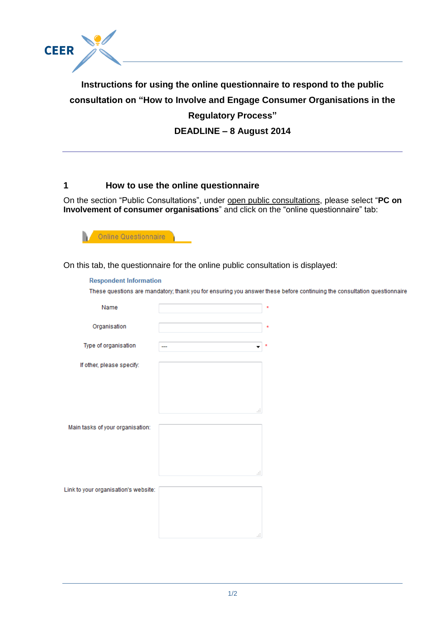

**Instructions for using the online questionnaire to respond to the public consultation on "How to Involve and Engage Consumer Organisations in the Regulatory Process"**

**DEADLINE – 8 August 2014**

# **1 How to use the online questionnaire**

On the section "Public Consultations", under open public consultations, please select "**PC on Involvement of consumer organisations**" and click on the "online questionnaire" tab:



On this tab, the questionnaire for the online public consultation is displayed:

#### **Respondent Information**

These questions are mandatory; thank you for ensuring you answer these before continuing the consultation questionnaire

| Name                                 |                  | $\star$ |
|--------------------------------------|------------------|---------|
| Organisation                         |                  | $\star$ |
| Type of organisation                 | ▼<br>--          | $\star$ |
| If other, please specify:            |                  |         |
|                                      | $\pm\frac{1}{4}$ |         |
| Main tasks of your organisation:     | $\pm\frac{1}{4}$ |         |
| Link to your organisation's website: | al.              |         |